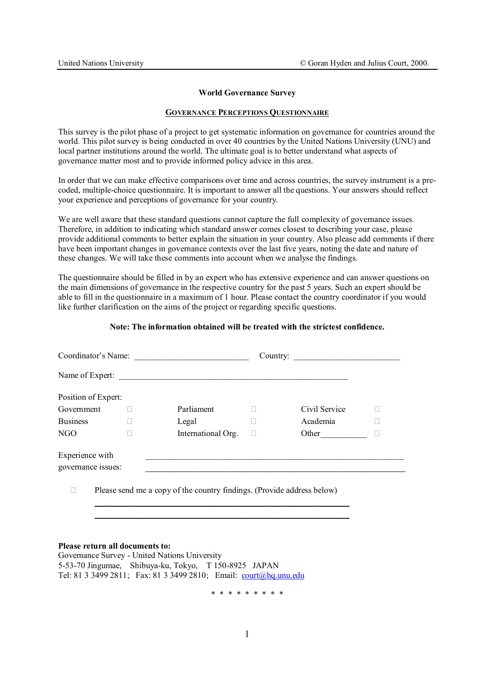#### **World Governance Survey**

### **GOVERNANCE PERCEPTIONS QUESTIONNAIRE**

This survey is the pilot phase of a project to get systematic information on governance for countries around the world. This pilot survey is being conducted in over 40 countries by the United Nations University (UNU) and local partner institutions around the world. The ultimate goal is to better understand what aspects of governance matter most and to provide informed policy advice in this area.

In order that we can make effective comparisons over time and across countries, the survey instrument is a precoded, multiple-choice questionnaire. It is important to answer all the questions. Your answers should reflect your experience and perceptions of governance for your country.

We are well aware that these standard questions cannot capture the full complexity of governance issues. Therefore, in addition to indicating which standard answer comes closest to describing your case, please provide additional comments to better explain the situation in your country. Also please add comments if there have been important changes in governance contexts over the last five years, noting the date and nature of these changes. We will take these comments into account when we analyse the findings.

The questionnaire should be filled in by an expert who has extensive experience and can answer questions on the main dimensions of governance in the respective country for the past 5 years. Such an expert should be able to fill in the questionnaire in a maximum of 1 hour. Please contact the country coordinator if you would like further clarification on the aims of the project or regarding specific questions.

### **Note: The information obtained will be treated with the strictest confidence.**

| Coordinator's Name: |                                                                        | Country: $\qquad \qquad$ |
|---------------------|------------------------------------------------------------------------|--------------------------|
|                     | Name of Expert:                                                        |                          |
| Position of Expert: |                                                                        |                          |
| Government          | Parliament                                                             | Civil Service            |
| <b>Business</b>     | Legal                                                                  | Academia                 |
| NGO                 | International Org.                                                     | Other                    |
| Experience with     |                                                                        |                          |
| governance issues:  |                                                                        |                          |
|                     | Please send me a copy of the country findings. (Provide address below) |                          |

 $\mathcal{L}_\text{max} = \mathcal{L}_\text{max} = \mathcal{L}_\text{max} = \mathcal{L}_\text{max} = \mathcal{L}_\text{max} = \mathcal{L}_\text{max} = \mathcal{L}_\text{max} = \mathcal{L}_\text{max} = \mathcal{L}_\text{max} = \mathcal{L}_\text{max} = \mathcal{L}_\text{max} = \mathcal{L}_\text{max} = \mathcal{L}_\text{max} = \mathcal{L}_\text{max} = \mathcal{L}_\text{max} = \mathcal{L}_\text{max} = \mathcal{L}_\text{max} = \mathcal{L}_\text{max} = \mathcal{$ 

#### **Please return all documents to:**

Governance Survey - United Nations University 5-53-70 Jingumae, Shibuya-ku, Tokyo, T 150-8925 JAPAN Tel: 81 3 3499 2811; Fax: 81 3 3499 2810; Email: court@hq.unu.edu

\* \* \* \* \* \* \* \* \*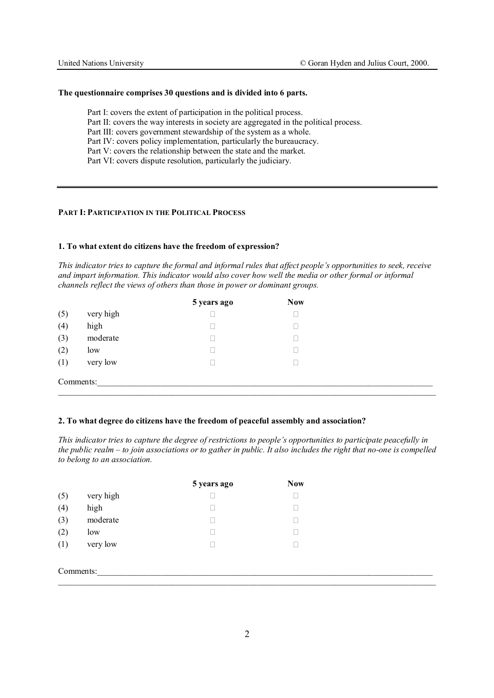#### **The questionnaire comprises 30 questions and is divided into 6 parts.**

Part I: covers the extent of participation in the political process. Part II: covers the way interests in society are aggregated in the political process. Part III: covers government stewardship of the system as a whole. Part IV: covers policy implementation, particularly the bureaucracy. Part V: covers the relationship between the state and the market. Part VI: covers dispute resolution, particularly the judiciary.

# **PART I: PARTICIPATION IN THE POLITICAL PROCESS**

#### **1. To what extent do citizens have the freedom of expression?**

*This indicator tries to capture the formal and informal rules that affect people's opportunities to seek, receive and impart information. This indicator would also cover how well the media or other formal or informal channels reflect the views of others than those in power or dominant groups.* 

|     |           | 5 years ago | <b>Now</b> |  |
|-----|-----------|-------------|------------|--|
| (5) | very high |             |            |  |
| (4) | high      |             |            |  |
| (3) | moderate  |             |            |  |
| (2) | low       |             |            |  |
| (1) | very low  |             |            |  |
|     | Comments: |             |            |  |

 $\_$  , and the state of the state of the state of the state of the state of the state of the state of the state of the state of the state of the state of the state of the state of the state of the state of the state of the

#### **2. To what degree do citizens have the freedom of peaceful assembly and association?**

*This indicator tries to capture the degree of restrictions to people's opportunities to participate peacefully in the public realm – to join associations or to gather in public. It also includes the right that no-one is compelled to belong to an association.* 

|           |           | 5 years ago | <b>Now</b> |
|-----------|-----------|-------------|------------|
| (5)       | very high |             |            |
| (4)       | high      |             |            |
| (3)       | moderate  |             |            |
| (2)       | low       |             |            |
| (1)       | very low  |             |            |
|           |           |             |            |
| Comments: |           |             |            |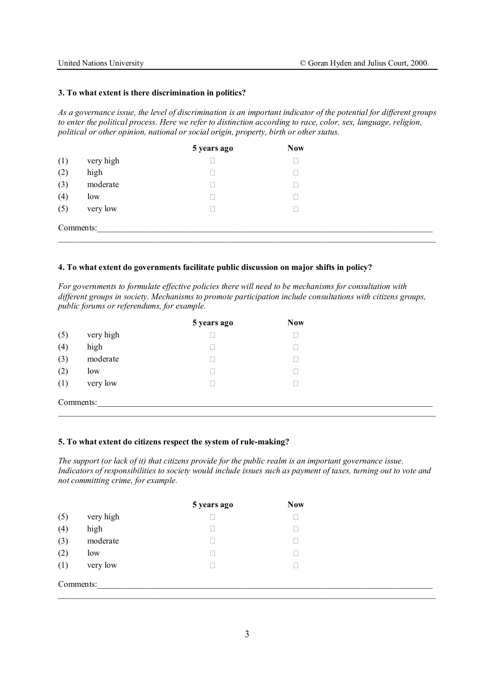#### **3. To what extent is there discrimination in politics?**

*As a governance issue, the level of discrimination is an important indicator of the potential for different groups to enter the political process. Here we refer to distinction according to race, color, sex, language, religion, political or other opinion, national or social origin, property, birth or other status.*

|           |           | 5 years ago | <b>Now</b> |  |
|-----------|-----------|-------------|------------|--|
| (1)       | very high |             |            |  |
| (2)       | high      |             |            |  |
| (3)       | moderate  |             |            |  |
| (4)       | low       |             |            |  |
| (5)       | very low  |             |            |  |
| Comments: |           |             |            |  |

### **4. To what extent do governments facilitate public discussion on major shifts in policy?**

*For governments to formulate effective policies there will need to be mechanisms for consultation with different groups in society. Mechanisms to promote participation include consultations with citizens groups, public forums or referendums, for example.* 

|           |           | 5 years ago | <b>Now</b> |
|-----------|-----------|-------------|------------|
| (5)       | very high |             |            |
| (4)       | high      |             |            |
| (3)       | moderate  |             |            |
| (2)       | low       |             |            |
| (1)       | very low  |             |            |
| Comments: |           |             |            |

# **5. To what extent do citizens respect the system of rule-making?**

*The support (or lack of it) that citizens provide for the public realm is an important governance issue. Indicators of responsibilities to society would include issues such as payment of taxes, turning out to vote and not committing crime, for example.* 

|           |           | 5 years ago | <b>Now</b> |
|-----------|-----------|-------------|------------|
| (5)       | very high |             |            |
| (4)       | high      |             |            |
| (3)       | moderate  |             |            |
| (2)       | low       |             |            |
| (1)       | very low  |             |            |
| Comments: |           |             |            |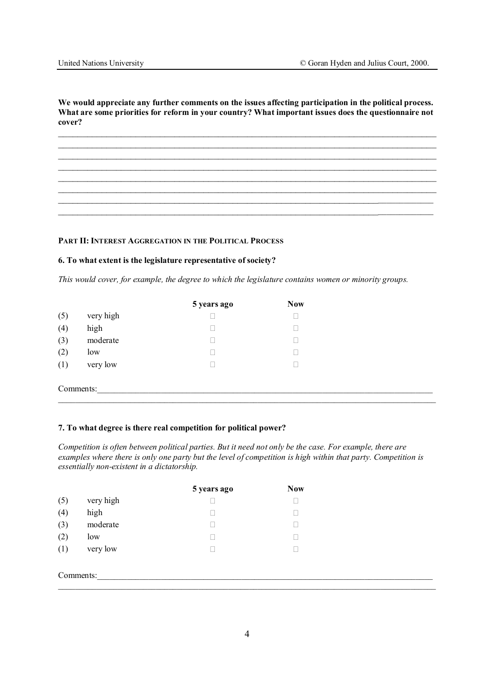**We would appreciate any further comments on the issues affecting participation in the political process. What are some priorities for reform in your country? What important issues does the questionnaire not cover?** 

 $\mathcal{L}_\mathcal{L} = \{ \mathcal{L}_\mathcal{L} = \{ \mathcal{L}_\mathcal{L} = \{ \mathcal{L}_\mathcal{L} = \{ \mathcal{L}_\mathcal{L} = \{ \mathcal{L}_\mathcal{L} = \{ \mathcal{L}_\mathcal{L} = \{ \mathcal{L}_\mathcal{L} = \{ \mathcal{L}_\mathcal{L} = \{ \mathcal{L}_\mathcal{L} = \{ \mathcal{L}_\mathcal{L} = \{ \mathcal{L}_\mathcal{L} = \{ \mathcal{L}_\mathcal{L} = \{ \mathcal{L}_\mathcal{L} = \{ \mathcal{L}_\mathcal{$  $\_$  , and the contribution of the contribution of  $\mathcal{L}_\mathcal{A}$  , and the contribution of  $\mathcal{L}_\mathcal{A}$  $\_$  , and the contribution of the contribution of  $\mathcal{L}_\mathcal{A}$  , and the contribution of  $\mathcal{L}_\mathcal{A}$  $\mathcal{L}_\mathcal{L} = \{ \mathcal{L}_\mathcal{L} = \{ \mathcal{L}_\mathcal{L} = \{ \mathcal{L}_\mathcal{L} = \{ \mathcal{L}_\mathcal{L} = \{ \mathcal{L}_\mathcal{L} = \{ \mathcal{L}_\mathcal{L} = \{ \mathcal{L}_\mathcal{L} = \{ \mathcal{L}_\mathcal{L} = \{ \mathcal{L}_\mathcal{L} = \{ \mathcal{L}_\mathcal{L} = \{ \mathcal{L}_\mathcal{L} = \{ \mathcal{L}_\mathcal{L} = \{ \mathcal{L}_\mathcal{L} = \{ \mathcal{L}_\mathcal{$  $\_$  , and the contribution of the contribution of  $\mathcal{L}_\mathcal{A}$  , and the contribution of  $\mathcal{L}_\mathcal{A}$ 

 $\mathcal{L}_\mathcal{L} = \mathcal{L}_\mathcal{L} = \mathcal{L}_\mathcal{L} = \mathcal{L}_\mathcal{L} = \mathcal{L}_\mathcal{L} = \mathcal{L}_\mathcal{L} = \mathcal{L}_\mathcal{L} = \mathcal{L}_\mathcal{L} = \mathcal{L}_\mathcal{L} = \mathcal{L}_\mathcal{L} = \mathcal{L}_\mathcal{L} = \mathcal{L}_\mathcal{L} = \mathcal{L}_\mathcal{L} = \mathcal{L}_\mathcal{L} = \mathcal{L}_\mathcal{L} = \mathcal{L}_\mathcal{L} = \mathcal{L}_\mathcal{L}$  $\_$  , and the set of the set of the set of the set of the set of the set of the set of the set of the set of the set of the set of the set of the set of the set of the set of the set of the set of the set of the set of th

**PART II: INTEREST AGGREGATION IN THE POLITICAL PROCESS**

#### **6. To what extent is the legislature representative of society?**

*This would cover, for example, the degree to which the legislature contains women or minority groups.* 

|           |           | 5 years ago | <b>Now</b> |
|-----------|-----------|-------------|------------|
| (5)       | very high |             |            |
| (4)       | high      |             |            |
| (3)       | moderate  |             |            |
| (2)       | low       |             |            |
| (1)       | very low  |             |            |
|           |           |             |            |
| Comments: |           |             |            |

# **7. To what degree is there real competition for political power?**

*Competition is often between political parties. But it need not only be the case. For example, there are examples where there is only one party but the level of competition is high within that party. Competition is essentially non-existent in a dictatorship.* 

|           |           | 5 years ago | <b>Now</b> |  |
|-----------|-----------|-------------|------------|--|
| (5)       | very high |             |            |  |
| (4)       | high      |             |            |  |
| (3)       | moderate  |             |            |  |
| (2)       | low       |             |            |  |
| (1)       | very low  |             |            |  |
|           |           |             |            |  |
| Comments: |           |             |            |  |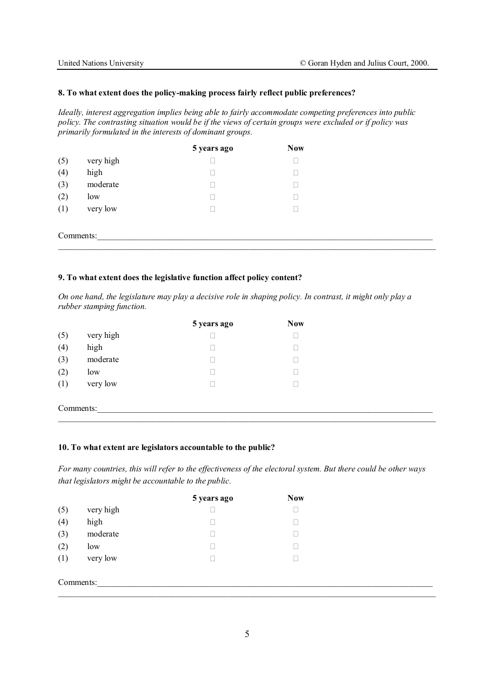# **8. To what extent does the policy-making process fairly reflect public preferences?**

*Ideally, interest aggregation implies being able to fairly accommodate competing preferences into public policy. The contrasting situation would be if the views of certain groups were excluded or if policy was primarily formulated in the interests of dominant groups.*

|           |           | 5 years ago | <b>Now</b> |
|-----------|-----------|-------------|------------|
| (5)       | very high |             |            |
| (4)       | high      |             |            |
| (3)       | moderate  |             |            |
| (2)       | low       |             |            |
| (1)       | very low  |             |            |
|           |           |             |            |
| Comments: |           |             |            |

 $\_$  , and the state of the state of the state of the state of the state of the state of the state of the state of the state of the state of the state of the state of the state of the state of the state of the state of the

# **9. To what extent does the legislative function affect policy content?**

*On one hand, the legislature may play a decisive role in shaping policy. In contrast, it might only play a rubber stamping function.* 

|           |           | 5 years ago | <b>Now</b> |
|-----------|-----------|-------------|------------|
| (5)       | very high |             |            |
| (4)       | high      |             |            |
| (3)       | moderate  |             |            |
| (2)       | low       |             |            |
| (1)       | very low  |             |            |
|           |           |             |            |
| Comments: |           |             |            |

# **10. To what extent are legislators accountable to the public?**

*For many countries, this will refer to the effectiveness of the electoral system. But there could be other ways that legislators might be accountable to the public.* 

|           |           | 5 years ago | <b>Now</b> |  |
|-----------|-----------|-------------|------------|--|
| (5)       | very high |             |            |  |
| (4)       | high      |             |            |  |
| (3)       | moderate  |             |            |  |
| (2)       | low       |             |            |  |
| (1)       | very low  |             |            |  |
|           |           |             |            |  |
| Comments: |           |             |            |  |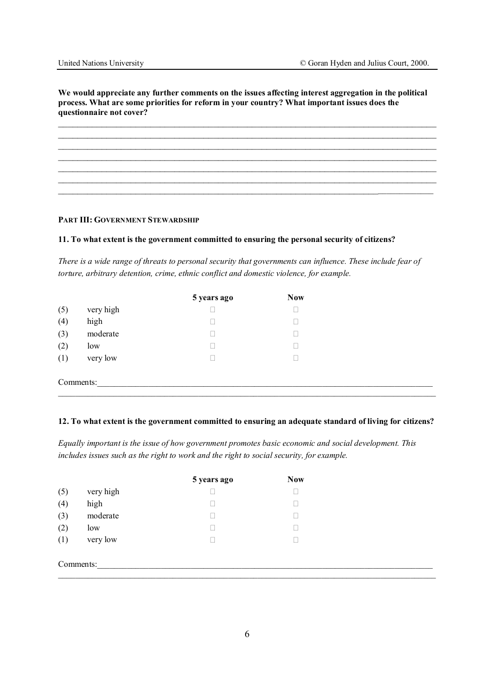**We would appreciate any further comments on the issues affecting interest aggregation in the political process. What are some priorities for reform in your country? What important issues does the questionnaire not cover?** 

 $\_$  , and the contribution of the contribution of the contribution of the contribution of  $\mathcal{L}_\text{max}$  $\_$  , and the contribution of the contribution of  $\mathcal{L}_\mathcal{A}$  , and the contribution of  $\mathcal{L}_\mathcal{A}$  $\mathcal{L}_\mathcal{L} = \{ \mathcal{L}_\mathcal{L} = \{ \mathcal{L}_\mathcal{L} = \{ \mathcal{L}_\mathcal{L} = \{ \mathcal{L}_\mathcal{L} = \{ \mathcal{L}_\mathcal{L} = \{ \mathcal{L}_\mathcal{L} = \{ \mathcal{L}_\mathcal{L} = \{ \mathcal{L}_\mathcal{L} = \{ \mathcal{L}_\mathcal{L} = \{ \mathcal{L}_\mathcal{L} = \{ \mathcal{L}_\mathcal{L} = \{ \mathcal{L}_\mathcal{L} = \{ \mathcal{L}_\mathcal{L} = \{ \mathcal{L}_\mathcal{$ 

 $\_$  , and the contribution of the contribution of  $\mathcal{L}_\mathcal{A}$  , and the contribution of  $\mathcal{L}_\mathcal{A}$  $\mathcal{L}_\mathcal{L} = \{ \mathcal{L}_\mathcal{L} = \{ \mathcal{L}_\mathcal{L} = \{ \mathcal{L}_\mathcal{L} = \{ \mathcal{L}_\mathcal{L} = \{ \mathcal{L}_\mathcal{L} = \{ \mathcal{L}_\mathcal{L} = \{ \mathcal{L}_\mathcal{L} = \{ \mathcal{L}_\mathcal{L} = \{ \mathcal{L}_\mathcal{L} = \{ \mathcal{L}_\mathcal{L} = \{ \mathcal{L}_\mathcal{L} = \{ \mathcal{L}_\mathcal{L} = \{ \mathcal{L}_\mathcal{L} = \{ \mathcal{L}_\mathcal{$  $\_$  , and the set of the set of the set of the set of the set of the set of the set of the set of the set of the set of the set of the set of the set of the set of the set of the set of the set of the set of the set of th

#### **PART III: GOVERNMENT STEWARDSHIP**

# **11. To what extent is the government committed to ensuring the personal security of citizens?**

*There is a wide range of threats to personal security that governments can influence. These include fear of torture, arbitrary detention, crime, ethnic conflict and domestic violence, for example.* 

|           |           | 5 years ago | <b>Now</b> |
|-----------|-----------|-------------|------------|
| (5)       | very high |             |            |
| (4)       | high      |             |            |
| (3)       | moderate  |             |            |
| (2)       | low       |             |            |
| (1)       | very low  |             |            |
|           |           |             |            |
| Comments: |           |             |            |
|           |           |             |            |

# **12. To what extent is the government committed to ensuring an adequate standard of living for citizens?**

*Equally important is the issue of how government promotes basic economic and social development. This includes issues such as the right to work and the right to social security, for example.* 

|           |           | 5 years ago | <b>Now</b> |  |
|-----------|-----------|-------------|------------|--|
| (5)       | very high |             |            |  |
| (4)       | high      |             |            |  |
| (3)       | moderate  |             |            |  |
| (2)       | low       |             |            |  |
| (1)       | very low  |             |            |  |
|           |           |             |            |  |
| Comments: |           |             |            |  |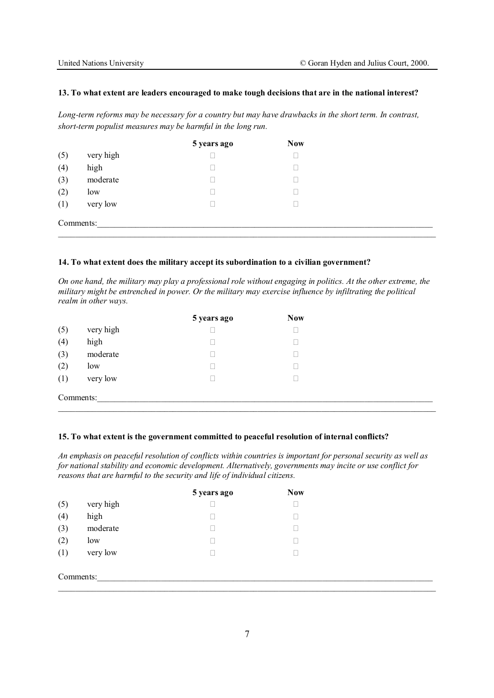#### **13. To what extent are leaders encouraged to make tough decisions that are in the national interest?**

*Long-term reforms may be necessary for a country but may have drawbacks in the short term. In contrast, short-term populist measures may be harmful in the long run.* 

|           |           | 5 years ago | <b>Now</b> |  |
|-----------|-----------|-------------|------------|--|
| (5)       | very high |             |            |  |
| (4)       | high      |             |            |  |
| (3)       | moderate  |             |            |  |
| (2)       | low       |             |            |  |
| (1)       | very low  |             |            |  |
| Comments: |           |             |            |  |

#### **14. To what extent does the military accept its subordination to a civilian government?**

*On one hand, the military may play a professional role without engaging in politics. At the other extreme, the military might be entrenched in power. Or the military may exercise influence by infiltrating the political realm in other ways.* 

|           |           | 5 years ago | <b>Now</b> |  |
|-----------|-----------|-------------|------------|--|
| (5)       | very high |             |            |  |
| (4)       | high      |             |            |  |
| (3)       | moderate  |             |            |  |
| (2)       | low       |             |            |  |
| (1)       | very low  |             |            |  |
| Comments: |           |             |            |  |

#### **15. To what extent is the government committed to peaceful resolution of internal conflicts?**

*An emphasis on peaceful resolution of conflicts within countries is important for personal security as well as for national stability and economic development. Alternatively, governments may incite or use conflict for reasons that are harmful to the security and life of individual citizens.* 

|           |           | 5 years ago | <b>Now</b> |
|-----------|-----------|-------------|------------|
| (5)       | very high |             |            |
| (4)       | high      |             |            |
| (3)       | moderate  |             |            |
| (2)       | low       |             |            |
| (1)       | very low  |             |            |
|           |           |             |            |
| Comments: |           |             |            |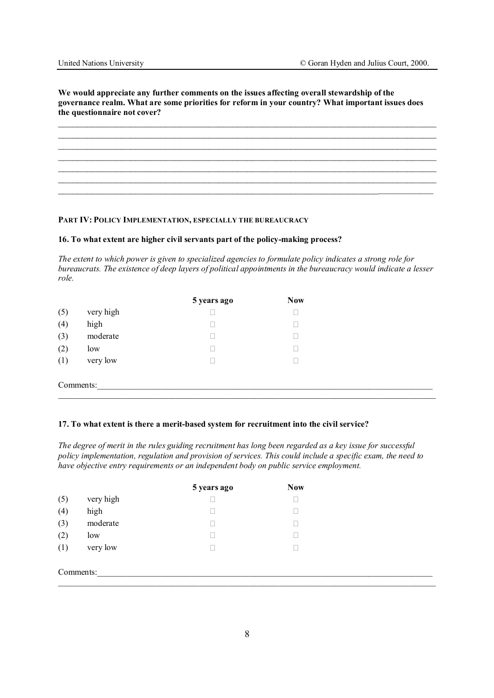**We would appreciate any further comments on the issues affecting overall stewardship of the governance realm. What are some priorities for reform in your country? What important issues does the questionnaire not cover?** 

 $\_$  , and the contribution of the contribution of the contribution of the contribution of  $\mathcal{L}_\text{max}$  $\_$  , and the contribution of the contribution of  $\mathcal{L}_\mathcal{A}$  , and the contribution of  $\mathcal{L}_\mathcal{A}$  $\mathcal{L}_\mathcal{L} = \{ \mathcal{L}_\mathcal{L} = \{ \mathcal{L}_\mathcal{L} = \{ \mathcal{L}_\mathcal{L} = \{ \mathcal{L}_\mathcal{L} = \{ \mathcal{L}_\mathcal{L} = \{ \mathcal{L}_\mathcal{L} = \{ \mathcal{L}_\mathcal{L} = \{ \mathcal{L}_\mathcal{L} = \{ \mathcal{L}_\mathcal{L} = \{ \mathcal{L}_\mathcal{L} = \{ \mathcal{L}_\mathcal{L} = \{ \mathcal{L}_\mathcal{L} = \{ \mathcal{L}_\mathcal{L} = \{ \mathcal{L}_\mathcal{$ 

 $\_$  , and the contribution of the contribution of  $\mathcal{L}_\mathcal{A}$  , and the contribution of  $\mathcal{L}_\mathcal{A}$  $\mathcal{L}_\mathcal{L} = \{ \mathcal{L}_\mathcal{L} = \{ \mathcal{L}_\mathcal{L} = \{ \mathcal{L}_\mathcal{L} = \{ \mathcal{L}_\mathcal{L} = \{ \mathcal{L}_\mathcal{L} = \{ \mathcal{L}_\mathcal{L} = \{ \mathcal{L}_\mathcal{L} = \{ \mathcal{L}_\mathcal{L} = \{ \mathcal{L}_\mathcal{L} = \{ \mathcal{L}_\mathcal{L} = \{ \mathcal{L}_\mathcal{L} = \{ \mathcal{L}_\mathcal{L} = \{ \mathcal{L}_\mathcal{L} = \{ \mathcal{L}_\mathcal{$  $\_$  , and the set of the set of the set of the set of the set of the set of the set of the set of the set of the set of the set of the set of the set of the set of the set of the set of the set of the set of the set of th

# **PART IV: POLICY IMPLEMENTATION, ESPECIALLY THE BUREAUCRACY**

# **16. To what extent are higher civil servants part of the policy-making process?**

*The extent to which power is given to specialized agencies to formulate policy indicates a strong role for bureaucrats. The existence of deep layers of political appointments in the bureaucracy would indicate a lesser role.* 

|           |           | 5 years ago | <b>Now</b> |
|-----------|-----------|-------------|------------|
| (5)       | very high |             |            |
| (4)       | high      |             |            |
| (3)       | moderate  |             |            |
| (2)       | low       |             |            |
| (1)       | very low  |             |            |
|           |           |             |            |
| Comments: |           |             |            |
|           |           |             |            |

### **17. To what extent is there a merit-based system for recruitment into the civil service?**

*The degree of merit in the rules guiding recruitment has long been regarded as a key issue for successful policy implementation, regulation and provision of services. This could include a specific exam, the need to have objective entry requirements or an independent body on public service employment.* 

|           |           | 5 years ago | <b>Now</b> |
|-----------|-----------|-------------|------------|
| (5)       | very high |             |            |
| (4)       | high      |             |            |
| (3)       | moderate  |             |            |
| (2)       | low       |             |            |
| (1)       | very low  |             |            |
|           |           |             |            |
| Comments: |           |             |            |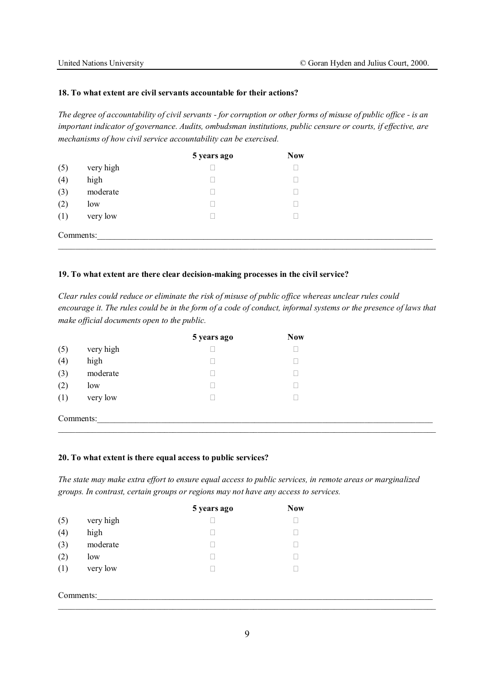#### **18. To what extent are civil servants accountable for their actions?**

*The degree of accountability of civil servants - for corruption or other forms of misuse of public office - is an important indicator of governance. Audits, ombudsman institutions, public censure or courts, if effective, are mechanisms of how civil service accountability can be exercised.* 

|           |           | 5 years ago | <b>Now</b> |
|-----------|-----------|-------------|------------|
| (5)       | very high |             |            |
| (4)       | high      |             |            |
| (3)       | moderate  |             |            |
| (2)       | low       |             |            |
| (1)       | very low  |             |            |
| Comments: |           |             |            |

#### **19. To what extent are there clear decision-making processes in the civil service?**

*Clear rules could reduce or eliminate the risk of misuse of public office whereas unclear rules could encourage it. The rules could be in the form of a code of conduct, informal systems or the presence of laws that make official documents open to the public.* 

|           |           | 5 years ago | <b>Now</b> |  |
|-----------|-----------|-------------|------------|--|
| (5)       | very high |             |            |  |
| (4)       | high      |             |            |  |
| (3)       | moderate  |             |            |  |
| (2)       | low       |             |            |  |
| (1)       | very low  |             |            |  |
| Comments: |           |             |            |  |

# **20. To what extent is there equal access to public services?**

*The state may make extra effort to ensure equal access to public services, in remote areas or marginalized groups. In contrast, certain groups or regions may not have any access to services.* 

|           |           | 5 years ago | <b>Now</b> |
|-----------|-----------|-------------|------------|
| (5)       | very high |             |            |
| (4)       | high      |             |            |
| (3)       | moderate  |             |            |
| (2)       | low       |             |            |
| (1)       | very low  |             |            |
|           |           |             |            |
| Comments: |           |             |            |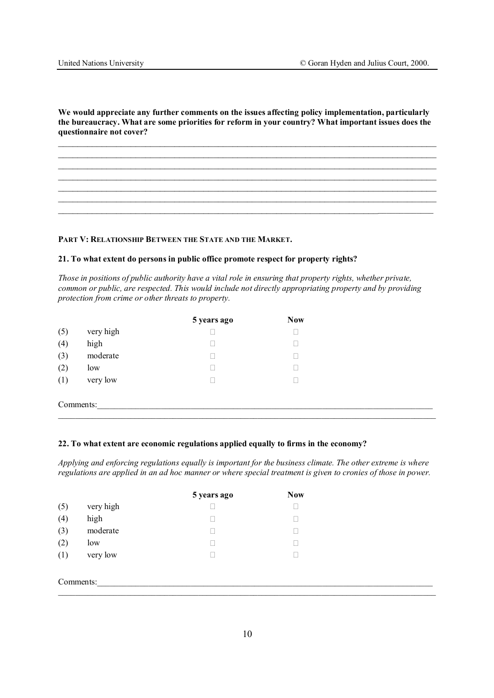**We would appreciate any further comments on the issues affecting policy implementation, particularly the bureaucracy. What are some priorities for reform in your country? What important issues does the questionnaire not cover?** 

 $\mathcal{L}_\mathcal{L} = \{ \mathcal{L}_\mathcal{L} = \{ \mathcal{L}_\mathcal{L} = \{ \mathcal{L}_\mathcal{L} = \{ \mathcal{L}_\mathcal{L} = \{ \mathcal{L}_\mathcal{L} = \{ \mathcal{L}_\mathcal{L} = \{ \mathcal{L}_\mathcal{L} = \{ \mathcal{L}_\mathcal{L} = \{ \mathcal{L}_\mathcal{L} = \{ \mathcal{L}_\mathcal{L} = \{ \mathcal{L}_\mathcal{L} = \{ \mathcal{L}_\mathcal{L} = \{ \mathcal{L}_\mathcal{L} = \{ \mathcal{L}_\mathcal{$  $\mathcal{L}_\mathcal{L} = \{ \mathcal{L}_\mathcal{L} = \{ \mathcal{L}_\mathcal{L} = \{ \mathcal{L}_\mathcal{L} = \{ \mathcal{L}_\mathcal{L} = \{ \mathcal{L}_\mathcal{L} = \{ \mathcal{L}_\mathcal{L} = \{ \mathcal{L}_\mathcal{L} = \{ \mathcal{L}_\mathcal{L} = \{ \mathcal{L}_\mathcal{L} = \{ \mathcal{L}_\mathcal{L} = \{ \mathcal{L}_\mathcal{L} = \{ \mathcal{L}_\mathcal{L} = \{ \mathcal{L}_\mathcal{L} = \{ \mathcal{L}_\mathcal{$  $\_$  , and the contribution of the contribution of  $\mathcal{L}_\mathcal{A}$  , and the contribution of  $\mathcal{L}_\mathcal{A}$  $\_$  , and the contribution of the contribution of  $\mathcal{L}_\mathcal{A}$  , and the contribution of  $\mathcal{L}_\mathcal{A}$  $\_$  , and the contribution of the contribution of  $\mathcal{L}_\mathcal{A}$  , and the contribution of  $\mathcal{L}_\mathcal{A}$  $\_$  , and the contribution of the contribution of  $\mathcal{L}_\mathcal{A}$  , and the contribution of  $\mathcal{L}_\mathcal{A}$  $\mathcal{L}_\mathcal{L} = \mathcal{L}_\mathcal{L} = \mathcal{L}_\mathcal{L} = \mathcal{L}_\mathcal{L} = \mathcal{L}_\mathcal{L} = \mathcal{L}_\mathcal{L} = \mathcal{L}_\mathcal{L} = \mathcal{L}_\mathcal{L} = \mathcal{L}_\mathcal{L} = \mathcal{L}_\mathcal{L} = \mathcal{L}_\mathcal{L} = \mathcal{L}_\mathcal{L} = \mathcal{L}_\mathcal{L} = \mathcal{L}_\mathcal{L} = \mathcal{L}_\mathcal{L} = \mathcal{L}_\mathcal{L} = \mathcal{L}_\mathcal{L}$ 

# **PART V: RELATIONSHIP BETWEEN THE STATE AND THE MARKET.**

#### **21. To what extent do persons in public office promote respect for property rights?**

*Those in positions of public authority have a vital role in ensuring that property rights, whether private, common or public, are respected. This would include not directly appropriating property and by providing protection from crime or other threats to property.* 

|     |           | 5 years ago | <b>Now</b> |  |
|-----|-----------|-------------|------------|--|
| (5) | very high |             |            |  |
| (4) | high      |             |            |  |
| (3) | moderate  |             |            |  |
| (2) | low       |             |            |  |
| (1) | very low  |             |            |  |

Comments:

# **22. To what extent are economic regulations applied equally to firms in the economy?**

*Applying and enforcing regulations equally is important for the business climate. The other extreme is where regulations are applied in an ad hoc manner or where special treatment is given to cronies of those in power.* 

|     |           | 5 years ago | <b>Now</b> |  |
|-----|-----------|-------------|------------|--|
| (5) | very high |             |            |  |
| (4) | high      |             |            |  |
| (3) | moderate  |             |            |  |
| (2) | low       |             |            |  |
| (1) | very low  |             |            |  |
|     |           |             |            |  |
|     | Comments: |             |            |  |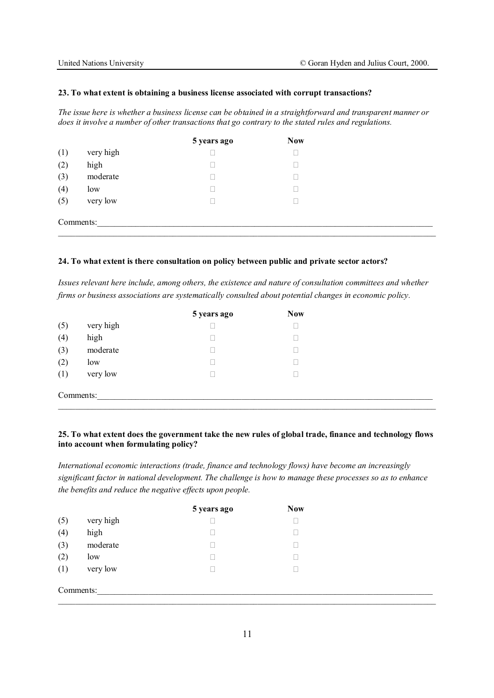#### **23. To what extent is obtaining a business license associated with corrupt transactions?**

*The issue here is whether a business license can be obtained in a straightforward and transparent manner or does it involve a number of other transactions that go contrary to the stated rules and regulations.* 

|           |           | 5 years ago | <b>Now</b> |
|-----------|-----------|-------------|------------|
| (1)       | very high |             |            |
| (2)       | high      |             |            |
| (3)       | moderate  |             |            |
| (4)       | low       |             |            |
| (5)       | very low  |             |            |
| Comments: |           |             |            |

### **24. To what extent is there consultation on policy between public and private sector actors?**

*Issues relevant here include, among others, the existence and nature of consultation committees and whether firms or business associations are systematically consulted about potential changes in economic policy.* 

|           |           | 5 years ago | <b>Now</b> |
|-----------|-----------|-------------|------------|
| (5)       | very high |             |            |
| (4)       | high      |             |            |
| (3)       | moderate  |             |            |
| (2)       | low       |             |            |
| (1)       | very low  |             |            |
|           |           |             |            |
| Comments: |           |             |            |
|           |           |             |            |

# **25. To what extent does the government take the new rules of global trade, finance and technology flows into account when formulating policy?**

*International economic interactions (trade, finance and technology flows) have become an increasingly significant factor in national development. The challenge is how to manage these processes so as to enhance the benefits and reduce the negative effects upon people.*

|           |           | 5 years ago | <b>Now</b> |
|-----------|-----------|-------------|------------|
| (5)       | very high |             |            |
| (4)       | high      |             |            |
| (3)       | moderate  |             |            |
| (2)       | low       |             |            |
| (1)       | very low  |             |            |
| Comments: |           |             |            |
|           |           |             |            |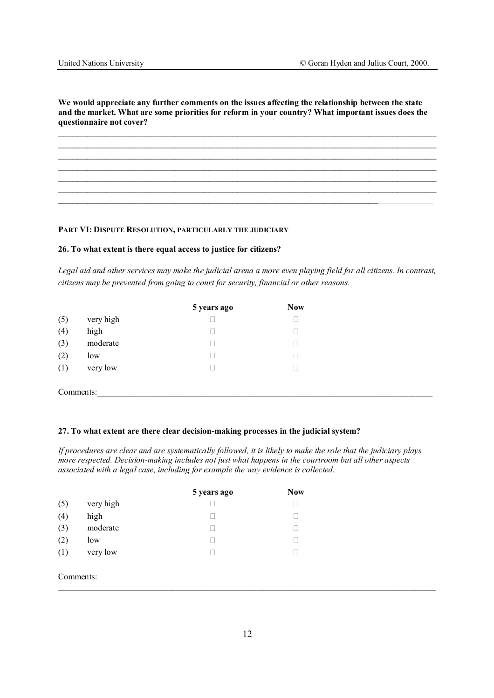**We would appreciate any further comments on the issues affecting the relationship between the state and the market. What are some priorities for reform in your country? What important issues does the questionnaire not cover?** 

 $\mathcal{L}_\mathcal{L} = \{ \mathcal{L}_\mathcal{L} = \{ \mathcal{L}_\mathcal{L} = \{ \mathcal{L}_\mathcal{L} = \{ \mathcal{L}_\mathcal{L} = \{ \mathcal{L}_\mathcal{L} = \{ \mathcal{L}_\mathcal{L} = \{ \mathcal{L}_\mathcal{L} = \{ \mathcal{L}_\mathcal{L} = \{ \mathcal{L}_\mathcal{L} = \{ \mathcal{L}_\mathcal{L} = \{ \mathcal{L}_\mathcal{L} = \{ \mathcal{L}_\mathcal{L} = \{ \mathcal{L}_\mathcal{L} = \{ \mathcal{L}_\mathcal{$  $\_$  , and the contribution of the contribution of  $\mathcal{L}_\mathcal{A}$  , and the contribution of  $\mathcal{L}_\mathcal{A}$  $\_$  , and the contribution of the contribution of  $\mathcal{L}_\mathcal{A}$  , and the contribution of  $\mathcal{L}_\mathcal{A}$  $\mathcal{L}_\mathcal{L} = \{ \mathcal{L}_\mathcal{L} = \{ \mathcal{L}_\mathcal{L} = \{ \mathcal{L}_\mathcal{L} = \{ \mathcal{L}_\mathcal{L} = \{ \mathcal{L}_\mathcal{L} = \{ \mathcal{L}_\mathcal{L} = \{ \mathcal{L}_\mathcal{L} = \{ \mathcal{L}_\mathcal{L} = \{ \mathcal{L}_\mathcal{L} = \{ \mathcal{L}_\mathcal{L} = \{ \mathcal{L}_\mathcal{L} = \{ \mathcal{L}_\mathcal{L} = \{ \mathcal{L}_\mathcal{L} = \{ \mathcal{L}_\mathcal{$  $\_$  , and the contribution of the contribution of  $\mathcal{L}_\mathcal{A}$  , and the contribution of  $\mathcal{L}_\mathcal{A}$  $\mathcal{L}_\mathcal{L} = \{ \mathcal{L}_\mathcal{L} = \{ \mathcal{L}_\mathcal{L} = \{ \mathcal{L}_\mathcal{L} = \{ \mathcal{L}_\mathcal{L} = \{ \mathcal{L}_\mathcal{L} = \{ \mathcal{L}_\mathcal{L} = \{ \mathcal{L}_\mathcal{L} = \{ \mathcal{L}_\mathcal{L} = \{ \mathcal{L}_\mathcal{L} = \{ \mathcal{L}_\mathcal{L} = \{ \mathcal{L}_\mathcal{L} = \{ \mathcal{L}_\mathcal{L} = \{ \mathcal{L}_\mathcal{L} = \{ \mathcal{L}_\mathcal{$  $\mathcal{L}_\mathcal{L} = \mathcal{L}_\mathcal{L} = \mathcal{L}_\mathcal{L} = \mathcal{L}_\mathcal{L} = \mathcal{L}_\mathcal{L} = \mathcal{L}_\mathcal{L} = \mathcal{L}_\mathcal{L} = \mathcal{L}_\mathcal{L} = \mathcal{L}_\mathcal{L} = \mathcal{L}_\mathcal{L} = \mathcal{L}_\mathcal{L} = \mathcal{L}_\mathcal{L} = \mathcal{L}_\mathcal{L} = \mathcal{L}_\mathcal{L} = \mathcal{L}_\mathcal{L} = \mathcal{L}_\mathcal{L} = \mathcal{L}_\mathcal{L}$ 

**PART VI: DISPUTE RESOLUTION, PARTICULARLY THE JUDICIARY**

# **26. To what extent is there equal access to justice for citizens?**

*Legal aid and other services may make the judicial arena a more even playing field for all citizens. In contrast, citizens may be prevented from going to court for security, financial or other reasons.* 

|           |           | 5 years ago | <b>Now</b> |  |
|-----------|-----------|-------------|------------|--|
| (5)       | very high |             |            |  |
| (4)       | high      |             |            |  |
| (3)       | moderate  |             |            |  |
| (2)       | low       |             |            |  |
| (1)       | very low  |             |            |  |
| Comments: |           |             |            |  |

# **27. To what extent are there clear decision-making processes in the judicial system?**

*If procedures are clear and are systematically followed, it is likely to make the role that the judiciary plays more respected. Decision-making includes not just what happens in the courtroom but all other aspects associated with a legal case, including for example the way evidence is collected.* 

|           |           | 5 years ago | <b>Now</b> |
|-----------|-----------|-------------|------------|
| (5)       | very high |             |            |
| (4)       | high      |             |            |
| (3)       | moderate  |             |            |
| (2)       | low       |             |            |
| (1)       | very low  |             |            |
|           |           |             |            |
| Comments: |           |             |            |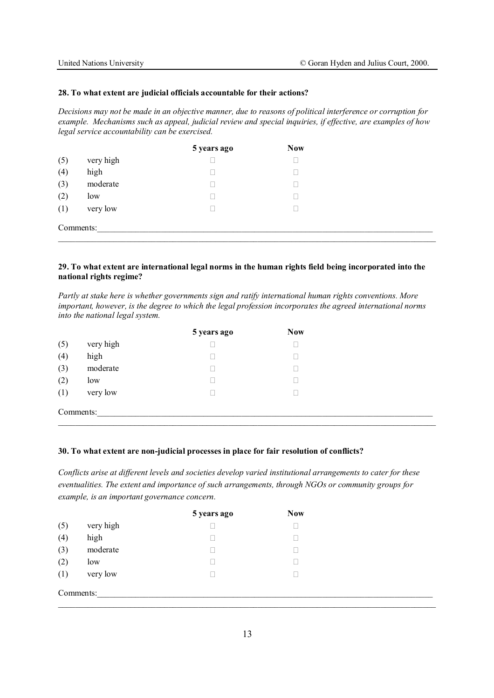#### **28. To what extent are judicial officials accountable for their actions?**

*Decisions may not be made in an objective manner, due to reasons of political interference or corruption for example. Mechanisms such as appeal, judicial review and special inquiries, if effective, are examples of how legal service accountability can be exercised.* 

|           |           | 5 years ago | <b>Now</b> |  |
|-----------|-----------|-------------|------------|--|
| (5)       | very high |             |            |  |
| (4)       | high      |             |            |  |
| (3)       | moderate  |             |            |  |
| (2)       | low       |             |            |  |
| (1)       | very low  |             |            |  |
| Comments: |           |             |            |  |

# **29. To what extent are international legal norms in the human rights field being incorporated into the national rights regime?**

*Partly at stake here is whether governments sign and ratify international human rights conventions. More important, however, is the degree to which the legal profession incorporates the agreed international norms into the national legal system.* 

|           |           | 5 years ago | <b>Now</b> |
|-----------|-----------|-------------|------------|
| (5)       | very high |             |            |
| (4)       | high      |             |            |
| (3)       | moderate  |             |            |
| (2)       | low       |             |            |
| (1)       | very low  |             |            |
| Comments: |           |             |            |

#### **30. To what extent are non-judicial processes in place for fair resolution of conflicts?**

*Conflicts arise at different levels and societies develop varied institutional arrangements to cater for these eventualities. The extent and importance of such arrangements, through NGOs or community groups for example, is an important governance concern.*

|           |           | 5 years ago | <b>Now</b> |  |
|-----------|-----------|-------------|------------|--|
| (5)       | very high |             |            |  |
| (4)       | high      |             |            |  |
| (3)       | moderate  |             |            |  |
| (2)       | low       |             |            |  |
| (1)       | very low  |             |            |  |
| Comments: |           |             |            |  |
|           |           |             |            |  |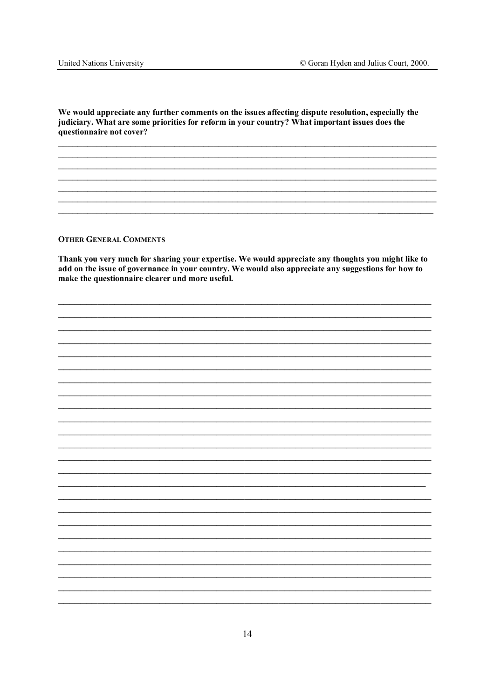We would appreciate any further comments on the issues affecting dispute resolution, especially the judiciary. What are some priorities for reform in your country? What important issues does the questionnaire not cover?

# **OTHER GENERAL COMMENTS**

Thank you very much for sharing your expertise. We would appreciate any thoughts you might like to add on the issue of governance in your country. We would also appreciate any suggestions for how to make the questionnaire clearer and more useful.